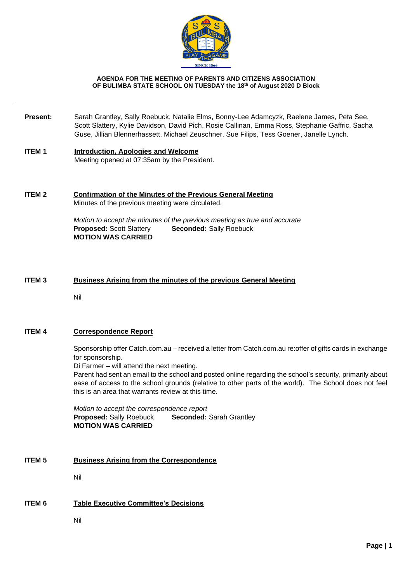

#### **AGENDA FOR THE MEETING OF PARENTS AND CITIZENS ASSOCIATION OF BULIMBA STATE SCHOOL ON TUESDAY the 18th of August 2020 D Block**

- **Present:** Sarah Grantley, Sally Roebuck, Natalie Elms, Bonny-Lee Adamcyzk, Raelene James, Peta See, Scott Slattery, Kylie Davidson, David Pich, Rosie Callinan, Emma Ross, Stephanie Gaffric, Sacha Guse, Jillian Blennerhassett, Michael Zeuschner, Sue Filips, Tess Goener, Janelle Lynch.
- **ITEM 1 Introduction, Apologies and Welcome** Meeting opened at 07:35am by the President.

#### **ITEM 2 Confirmation of the Minutes of the Previous General Meeting** Minutes of the previous meeting were circulated.

*Motion to accept the minutes of the previous meeting as true and accurate* **Proposed:** Scott Slattery **Seconded:** Sally Roebuck **MOTION WAS CARRIED**

### **ITEM 3 Business Arising from the minutes of the previous General Meeting**

Nil

# **ITEM 4 Correspondence Report**

Sponsorship offer Catch.com.au – received a letter from Catch.com.au re:offer of gifts cards in exchange for sponsorship.

Di Farmer – will attend the next meeting.

Parent had sent an email to the school and posted online regarding the school's security, primarily about ease of access to the school grounds (relative to other parts of the world). The School does not feel this is an area that warrants review at this time.

*Motion to accept the correspondence report* **Proposed:** Sally Roebuck **Seconded:** Sarah Grantley **MOTION WAS CARRIED**

### **ITEM 5 Business Arising from the Correspondence**

Nil

# **ITEM 6 Table Executive Committee's Decisions**

Nil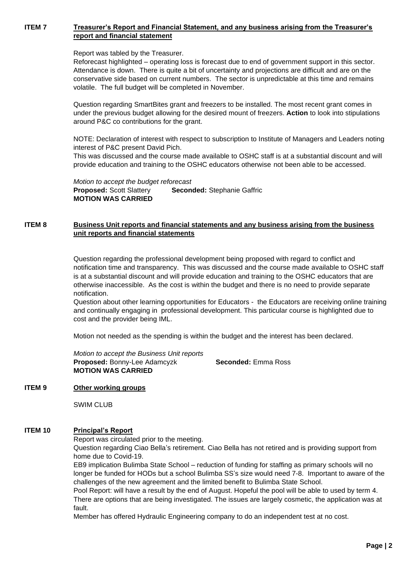### **ITEM 7 Treasurer's Report and Financial Statement, and any business arising from the Treasurer's report and financial statement**

Report was tabled by the Treasurer.

Reforecast highlighted – operating loss is forecast due to end of government support in this sector. Attendance is down. There is quite a bit of uncertainty and projections are difficult and are on the conservative side based on current numbers. The sector is unpredictable at this time and remains volatile. The full budget will be completed in November.

Question regarding SmartBites grant and freezers to be installed. The most recent grant comes in under the previous budget allowing for the desired mount of freezers. **Action** to look into stipulations around P&C co contributions for the grant.

NOTE: Declaration of interest with respect to subscription to Institute of Managers and Leaders noting interest of P&C present David Pich.

This was discussed and the course made available to OSHC staff is at a substantial discount and will provide education and training to the OSHC educators otherwise not been able to be accessed.

*Motion to accept the budget reforecast* **Proposed:** Scott Slattery **Seconded:** Stephanie Gaffric **MOTION WAS CARRIED**

# **ITEM 8 Business Unit reports and financial statements and any business arising from the business unit reports and financial statements**

Question regarding the professional development being proposed with regard to conflict and notification time and transparency. This was discussed and the course made available to OSHC staff is at a substantial discount and will provide education and training to the OSHC educators that are otherwise inaccessible. As the cost is within the budget and there is no need to provide separate notification.

Question about other learning opportunities for Educators - the Educators are receiving online training and continually engaging in professional development. This particular course is highlighted due to cost and the provider being IML.

Motion not needed as the spending is within the budget and the interest has been declared.

*Motion to accept the Business Unit reports* **Proposed:** Bonny-Lee Adamcyzk **Seconded:** Emma Ross **MOTION WAS CARRIED**

#### **ITEM 9 Other working groups**

SWIM CLUB

#### **ITEM 10 Principal's Report**

Report was circulated prior to the meeting.

Question regarding Ciao Bella's retirement. Ciao Bella has not retired and is providing support from home due to Covid-19.

EB9 implication Bulimba State School – reduction of funding for staffing as primary schools will no longer be funded for HODs but a school Bulimba SS's size would need 7-8. Important to aware of the challenges of the new agreement and the limited benefit to Bulimba State School.

Pool Report: will have a result by the end of August. Hopeful the pool will be able to used by term 4. There are options that are being investigated. The issues are largely cosmetic, the application was at fault.

Member has offered Hydraulic Engineering company to do an independent test at no cost.